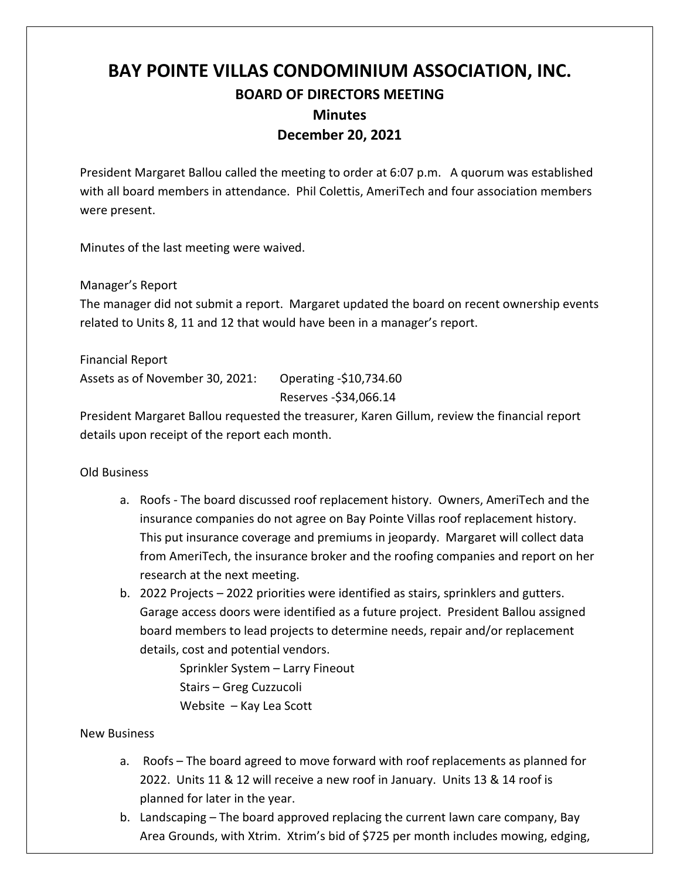## **BAY POINTE VILLAS CONDOMINIUM ASSOCIATION, INC. BOARD OF DIRECTORS MEETING Minutes December 20, 2021**

President Margaret Ballou called the meeting to order at 6:07 p.m. A quorum was established with all board members in attendance. Phil Colettis, AmeriTech and four association members were present.

Minutes of the last meeting were waived.

Manager's Report

The manager did not submit a report. Margaret updated the board on recent ownership events related to Units 8, 11 and 12 that would have been in a manager's report.

Financial Report Assets as of November 30, 2021: Operating -\$10,734.60 Reserves -\$34,066.14

President Margaret Ballou requested the treasurer, Karen Gillum, review the financial report details upon receipt of the report each month.

## Old Business

- a. Roofs The board discussed roof replacement history. Owners, AmeriTech and the insurance companies do not agree on Bay Pointe Villas roof replacement history. This put insurance coverage and premiums in jeopardy. Margaret will collect data from AmeriTech, the insurance broker and the roofing companies and report on her research at the next meeting.
- b. 2022 Projects 2022 priorities were identified as stairs, sprinklers and gutters. Garage access doors were identified as a future project. President Ballou assigned board members to lead projects to determine needs, repair and/or replacement details, cost and potential vendors.

Sprinkler System – Larry Fineout Stairs – Greg Cuzzucoli Website – Kay Lea Scott

## New Business

- a. Roofs The board agreed to move forward with roof replacements as planned for 2022. Units 11 & 12 will receive a new roof in January. Units 13 & 14 roof is planned for later in the year.
- b. Landscaping The board approved replacing the current lawn care company, Bay Area Grounds, with Xtrim. Xtrim's bid of \$725 per month includes mowing, edging,